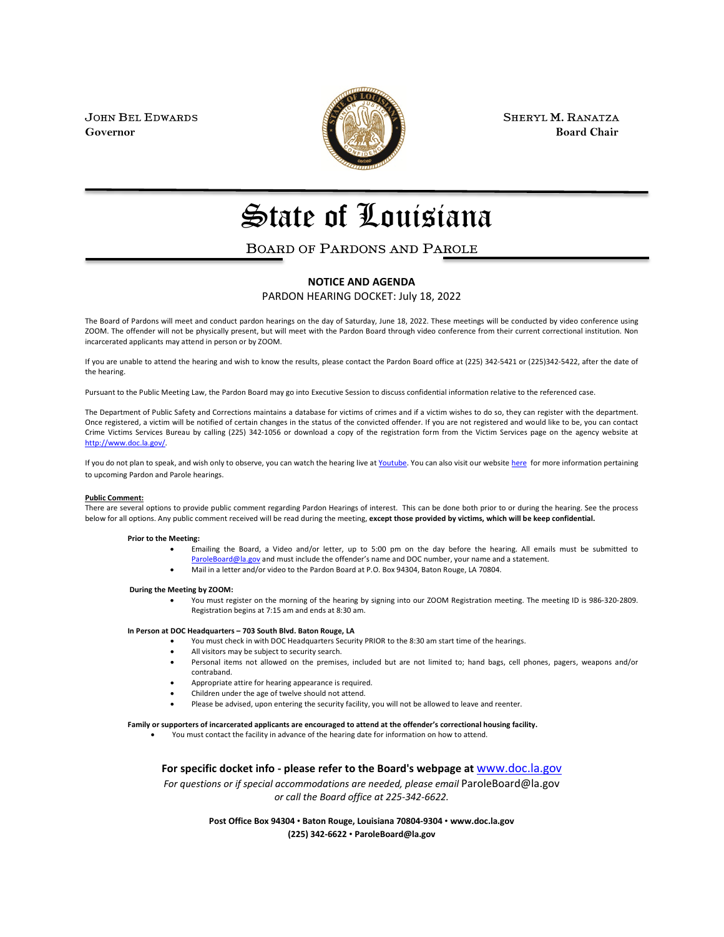

JOHN BEL EDWARDS **SHERYL M. RANATZA SHERYL M. RANATZA Governor** Board Chair **Board Chair Board Chair Board Chair** 

# State of Louisiana

### BOARD OF PARDONS AND PAROLE

#### **NOTICE AND AGENDA**

PARDON HEARING DOCKET: July 18, 2022

The Board of Pardons will meet and conduct pardon hearings on the day of Saturday, June 18, 2022. These meetings will be conducted by video conference using ZOOM. The offender will not be physically present, but will meet with the Pardon Board through video conference from their current correctional institution. Non incarcerated applicants may attend in person or by ZOOM.

If you are unable to attend the hearing and wish to know the results, please contact the Pardon Board office at (225) 342-5421 or (225)342-5422, after the date of the hearing.

Pursuant to the Public Meeting Law, the Pardon Board may go into Executive Session to discuss confidential information relative to the referenced case.

The Department of Public Safety and Corrections maintains a database for victims of crimes and if a victim wishes to do so, they can register with the department. Once registered, a victim will be notified of certain changes in the status of the convicted offender. If you are not registered and would like to be, you can contact Crime Victims Services Bureau by calling (225) 342-1056 or download a copy of the registration form from the Victim Services page on the agency website at [http://www.doc.la.gov/.](http://www.doc.la.gov/)

If you do not plan to speak, and wish only to observe, you can watch the hearing live a[t Youtube.](https://www.youtube.com/channel/UCoYjTgNSdFFqnSnuu1Wi3fg/live) You can also visit our websit[e here](https://doc.louisiana.gov/imprisoned-person-programs-resources/pardons-parole/) for more information pertaining to upcoming Pardon and Parole hearings.

#### **Public Comment:**

There are several options to provide public comment regarding Pardon Hearings of interest. This can be done both prior to or during the hearing. See the process below for all options. Any public comment received will be read during the meeting, **except those provided by victims, which will be keep confidential.**

#### **Prior to the Meeting:**

- Emailing the Board, a Video and/or letter, up to 5:00 pm on the day before the hearing. All emails must be submitted to [ParoleBoard@la.gov](mailto:ParoleBoard@la.gov) and must include the offender's name and DOC number, your name and a statement.
- Mail in a letter and/or video to the Pardon Board at P.O. Box 94304, Baton Rouge, LA 70804.

#### **During the Meeting by ZOOM:**

• You must register on the morning of the hearing by signing into our ZOOM Registration meeting. The meeting ID is 986-320-2809. Registration begins at 7:15 am and ends at 8:30 am.

#### **In Person at DOC Headquarters – 703 South Blvd. Baton Rouge, LA**

- You must check in with DOC Headquarters Security PRIOR to the 8:30 am start time of the hearings.
- All visitors may be subject to security search.
- Personal items not allowed on the premises, included but are not limited to; hand bags, cell phones, pagers, weapons and/or contraband.
- Appropriate attire for hearing appearance is required.
- Children under the age of twelve should not attend.
- Please be advised, upon entering the security facility, you will not be allowed to leave and reenter.

#### **Family or supporters of incarcerated applicants are encouraged to attend at the offender's correctional housing facility.**

• You must contact the facility in advance of the hearing date for information on how to attend.

**For specific docket info - please refer to the Board's webpage at** [www.doc.la.gov](http://www.doc.la.gov/)

*For questions or if special accommodations are needed, please email* ParoleBoard@la.gov *or call the Board office at 225-342-6622.*

> **Post Office Box 94304** • **Baton Rouge, Louisiana 70804-9304** • **www.doc.la.gov (225) 342-6622** • **ParoleBoard@la.gov**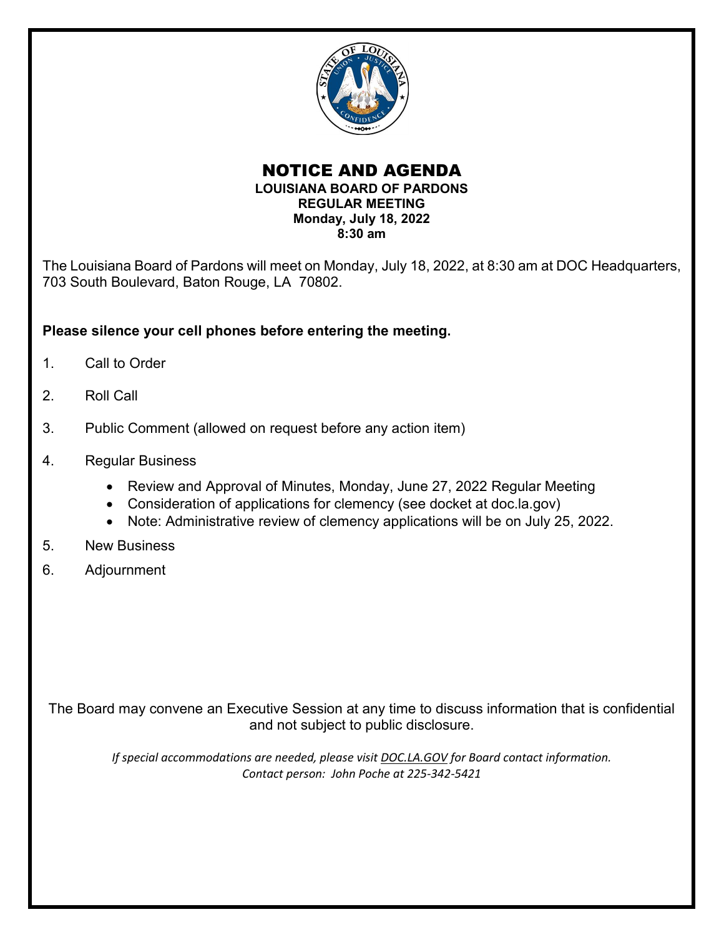

### NOTICE AND AGENDA **LOUISIANA BOARD OF PARDONS REGULAR MEETING Monday, July 18, 2022 8:30 am**

The Louisiana Board of Pardons will meet on Monday, July 18, 2022, at 8:30 am at DOC Headquarters, 703 South Boulevard, Baton Rouge, LA 70802.

### **Please silence your cell phones before entering the meeting.**

- 1. Call to Order
- 2. Roll Call
- 3. Public Comment (allowed on request before any action item)
- 4. Regular Business
	- Review and Approval of Minutes, Monday, June 27, 2022 Regular Meeting
	- Consideration of applications for clemency (see docket at doc.la.gov)
	- Note: Administrative review of clemency applications will be on July 25, 2022.
- 5. New Business
- 6. Adjournment

The Board may convene an Executive Session at any time to discuss information that is confidential and not subject to public disclosure.

*If special accommodations are needed, please visit DOC.LA.GOV for Board contact information. Contact person: John Poche at 225-342-5421*